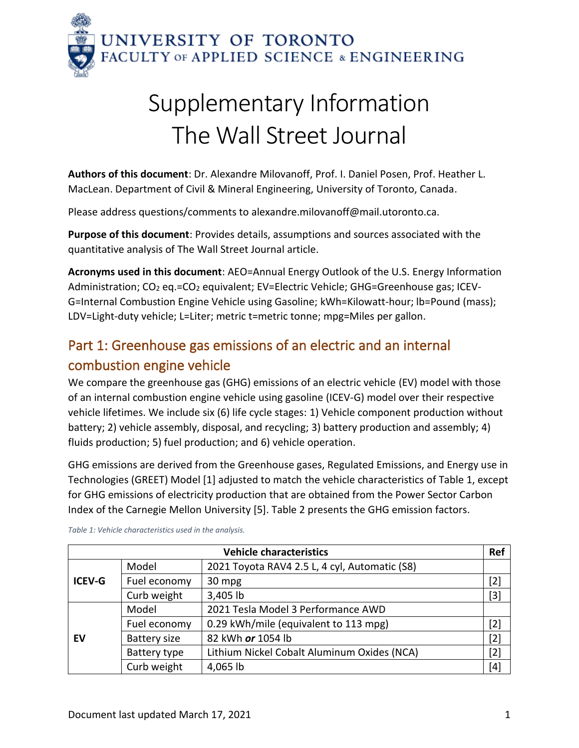

## Supplementary Information The Wall Street Journal

**Authors of this document**: Dr. Alexandre Milovanoff, Prof. I. Daniel Posen, Prof. Heather L. MacLean. Department of Civil & Mineral Engineering, University of Toronto, Canada.

Please address questions/comments to alexandre.milovanoff@mail.utoronto.ca.

**Purpose of this document**: Provides details, assumptions and sources associated with the quantitative analysis of The Wall Street Journal article.

**Acronyms used in this document**: AEO=Annual Energy Outlook of the U.S. Energy Information Administration; CO<sub>2</sub> eq.=CO<sub>2</sub> equivalent; EV=Electric Vehicle; GHG=Greenhouse gas; ICEV-G=Internal Combustion Engine Vehicle using Gasoline; kWh=Kilowatt-hour; lb=Pound (mass); LDV=Light-duty vehicle; L=Liter; metric t=metric tonne; mpg=Miles per gallon.

## Part 1: Greenhouse gas emissions of an electric and an internal combustion engine vehicle

We compare the greenhouse gas (GHG) emissions of an electric vehicle (EV) model with those of an internal combustion engine vehicle using gasoline (ICEV-G) model over their respective vehicle lifetimes. We include six (6) life cycle stages: 1) Vehicle component production without battery; 2) vehicle assembly, disposal, and recycling; 3) battery production and assembly; 4) fluids production; 5) fuel production; and 6) vehicle operation.

GHG emissions are derived from the Greenhouse gases, Regulated Emissions, and Energy use in Technologies (GREET) Model [1] adjusted to match the vehicle characteristics of [Table 1,](#page-0-0) except for GHG emissions of electricity production that are obtained from the Power Sector Carbon Index of the Carnegie Mellon University [5]. [Table 2](#page-1-0) presents the GHG emission factors.

| <b>Vehicle characteristics</b> |                     |                                               | Ref   |
|--------------------------------|---------------------|-----------------------------------------------|-------|
| <b>ICEV-G</b>                  | Model               | 2021 Toyota RAV4 2.5 L, 4 cyl, Automatic (S8) |       |
|                                | Fuel economy        | 30 mpg                                        | $[2]$ |
|                                | Curb weight         | 3,405 lb                                      | $[3]$ |
| EV                             | Model               | 2021 Tesla Model 3 Performance AWD            |       |
|                                | Fuel economy        | 0.29 kWh/mile (equivalent to 113 mpg)         | $[2]$ |
|                                | <b>Battery size</b> | 82 kWh or 1054 lb                             | $[2]$ |
|                                | Battery type        | Lithium Nickel Cobalt Aluminum Oxides (NCA)   | $[2]$ |
|                                | Curb weight         | 4,065 lb                                      | $[4]$ |

<span id="page-0-0"></span>*Table 1: Vehicle characteristics used in the analysis.*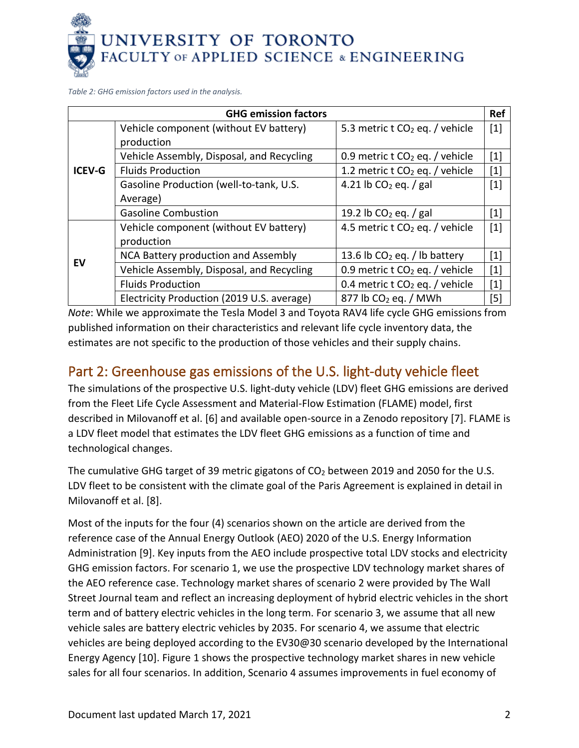

<span id="page-1-0"></span>*Table 2: GHG emission factors used in the analysis.*

| <b>GHG emission factors</b> |                                            |                                            |                   |  |
|-----------------------------|--------------------------------------------|--------------------------------------------|-------------------|--|
| <b>ICEV-G</b>               | Vehicle component (without EV battery)     | 5.3 metric t $CO2$ eq. / vehicle           | $[1]$             |  |
|                             | production                                 |                                            |                   |  |
|                             | Vehicle Assembly, Disposal, and Recycling  | 0.9 metric t $CO2$ eq. / vehicle           | $[1]$             |  |
|                             | <b>Fluids Production</b>                   | 1.2 metric t CO <sub>2</sub> eq. / vehicle | $[1]$             |  |
|                             | Gasoline Production (well-to-tank, U.S.    | 4.21 lb $CO2$ eq. / gal                    | $[1]$             |  |
|                             | Average)                                   |                                            |                   |  |
|                             | <b>Gasoline Combustion</b>                 | 19.2 lb $CO2$ eq. / gal                    | [1]               |  |
| EV                          | Vehicle component (without EV battery)     | 4.5 metric t $CO2$ eq. / vehicle           | $[1]$             |  |
|                             | production                                 |                                            |                   |  |
|                             | NCA Battery production and Assembly        | 13.6 lb $CO2$ eq. / lb battery             | $\lceil 1 \rceil$ |  |
|                             | Vehicle Assembly, Disposal, and Recycling  | 0.9 metric t $CO2$ eq. / vehicle           | $[1]$             |  |
|                             | <b>Fluids Production</b>                   | 0.4 metric t CO <sub>2</sub> eq. / vehicle | $[1]$             |  |
|                             | Electricity Production (2019 U.S. average) | $877$ lb CO <sub>2</sub> eq. / MWh         | [5]               |  |

*Note*: While we approximate the Tesla Model 3 and Toyota RAV4 life cycle GHG emissions from published information on their characteristics and relevant life cycle inventory data, the estimates are not specific to the production of those vehicles and their supply chains.

## Part 2: Greenhouse gas emissions of the U.S. light-duty vehicle fleet

The simulations of the prospective U.S. light-duty vehicle (LDV) fleet GHG emissions are derived from the Fleet Life Cycle Assessment and Material-Flow Estimation (FLAME) model, first described in Milovanoff et al. [6] and available open-source in a Zenodo repository [7]. FLAME is a LDV fleet model that estimates the LDV fleet GHG emissions as a function of time and technological changes.

The cumulative GHG target of 39 metric gigatons of  $CO<sub>2</sub>$  between 2019 and 2050 for the U.S. LDV fleet to be consistent with the climate goal of the Paris Agreement is explained in detail in Milovanoff et al. [8].

Most of the inputs for the four (4) scenarios shown on the article are derived from the reference case of the Annual Energy Outlook (AEO) 2020 of the U.S. Energy Information Administration [9]. Key inputs from the AEO include prospective total LDV stocks and electricity GHG emission factors. For scenario 1, we use the prospective LDV technology market shares of the AEO reference case. Technology market shares of scenario 2 were provided by The Wall Street Journal team and reflect an increasing deployment of hybrid electric vehicles in the short term and of battery electric vehicles in the long term. For scenario 3, we assume that all new vehicle sales are battery electric vehicles by 2035. For scenario 4, we assume that electric vehicles are being deployed according to the EV30@30 scenario developed by the International Energy Agency [10]. [Figure 1](#page-2-0) shows the prospective technology market shares in new vehicle sales for all four scenarios. In addition, Scenario 4 assumes improvements in fuel economy of